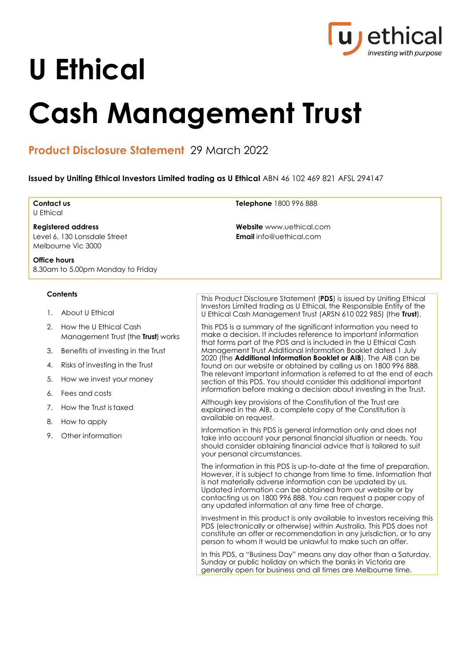

# **U Ethical**

# **Cash Management Trust**

# **Product Disclosure Statement** 29 March 2022

**Issued by Uniting Ethical Investors Limited trading as U Ethical** ABN 46 102 469 821 AFSL 294147

| Contact us<br><b>U</b> Ethical                                                          |                                                              | Telephone 1800 996 888                                                                                                                                                                                                                                                                                                                                                                              |  |  |  |  |
|-----------------------------------------------------------------------------------------|--------------------------------------------------------------|-----------------------------------------------------------------------------------------------------------------------------------------------------------------------------------------------------------------------------------------------------------------------------------------------------------------------------------------------------------------------------------------------------|--|--|--|--|
| <b>Registered address</b><br>Level 6, 130 Lonsdale Street<br>Melbourne Vic 3000         |                                                              | <b>Website</b> www.uethical.com<br><b>Email</b> info@uethical.com                                                                                                                                                                                                                                                                                                                                   |  |  |  |  |
| Office hours<br>8.30am to 5.00pm Monday to Friday                                       |                                                              |                                                                                                                                                                                                                                                                                                                                                                                                     |  |  |  |  |
| <b>Contents</b><br>This Product Disclosure Statement (PDS) is issued by Uniting Ethical |                                                              |                                                                                                                                                                                                                                                                                                                                                                                                     |  |  |  |  |
| 1.                                                                                      | About U Ethical                                              | Investors Limited trading as U Ethical, the Responsible Entity of the<br>U Ethical Cash Management Trust (ARSN 610 022 985) (the Trust).                                                                                                                                                                                                                                                            |  |  |  |  |
| 2.                                                                                      | How the U Ethical Cash<br>Management Trust (the Trust) works | This PDS is a summary of the significant information you need to<br>make a decision. It includes reference to important information<br>that forms part of the PDS and is included in the U Ethical Cash                                                                                                                                                                                             |  |  |  |  |
| 3.                                                                                      | Benefits of investing in the Trust                           | Management Trust Additional Information Booklet dated 1 July                                                                                                                                                                                                                                                                                                                                        |  |  |  |  |
| 4.                                                                                      | Risks of investing in the Trust                              | 2020 (the Additional Information Booklet or AIB). The AIB can be<br>found on our website or obtained by calling us on 1800 996 888.                                                                                                                                                                                                                                                                 |  |  |  |  |
| 5.                                                                                      | How we invest your money                                     | The relevant important information is referred to at the end of each<br>section of this PDS. You should consider this additional important                                                                                                                                                                                                                                                          |  |  |  |  |
| 6.                                                                                      | Fees and costs                                               | information before making a decision about investing in the Trust.<br>Although key provisions of the Constitution of the Trust are<br>explained in the AIB, a complete copy of the Constitution is<br>available on request.                                                                                                                                                                         |  |  |  |  |
| 7.                                                                                      | How the Trust is taxed                                       |                                                                                                                                                                                                                                                                                                                                                                                                     |  |  |  |  |
| 8.                                                                                      | How to apply                                                 |                                                                                                                                                                                                                                                                                                                                                                                                     |  |  |  |  |
| 9.                                                                                      | Other information                                            | Information in this PDS is general information only and does not<br>take into account your personal financial situation or needs. You<br>should consider obtaining financial advice that is tailored to suit<br>your personal circumstances.                                                                                                                                                        |  |  |  |  |
|                                                                                         |                                                              | The information in this PDS is up-to-date at the time of preparation.<br>However, it is subject to change from time to time. Information that<br>is not materially adverse information can be updated by us.<br>Updated information can be obtained from our website or by<br>contacting us on 1800 996 888. You can request a paper copy of<br>any updated information at any time free of charge. |  |  |  |  |
|                                                                                         |                                                              | Investment in this product is only available to investors receiving this<br>PDS (electronically or otherwise) within Australia. This PDS does not<br>constitute an offer or recommendation in any jurisdiction, or to any<br>person to whom it would be unlawful to make such an offer.                                                                                                             |  |  |  |  |
|                                                                                         |                                                              | In this PDS, a "Business Day" means any day other than a Saturday,<br>Sunday or public holiday on which the banks in Victoria are<br>generally open for business and all times are Melbourne time.                                                                                                                                                                                                  |  |  |  |  |
|                                                                                         |                                                              |                                                                                                                                                                                                                                                                                                                                                                                                     |  |  |  |  |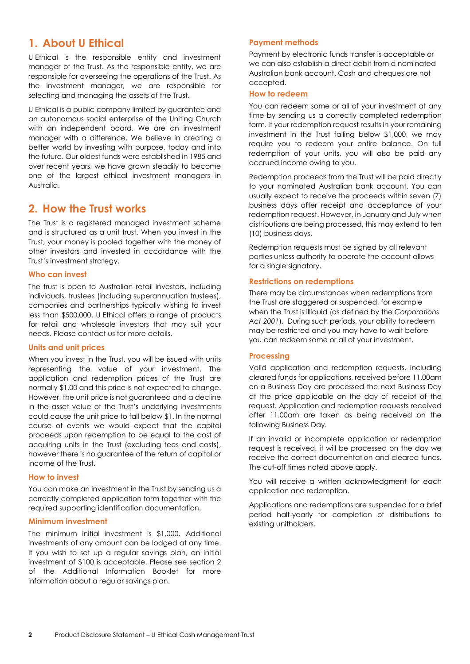# **1. About U Ethical**

U Ethical is the responsible entity and investment manager of the Trust. As the responsible entity, we are responsible for overseeing the operations of the Trust. As the investment manager, we are responsible for selecting and managing the assets of the Trust.

U Ethical is a public company limited by guarantee and an autonomous social enterprise of the Uniting Church with an independent board. We are an investment manager with a difference. We believe in creating a better world by investing with purpose, today and into the future. Our oldest funds were established in 1985 and over recent years, we have grown steadily to become one of the largest ethical investment managers in Australia.

## **2. How the Trust works**

The Trust is a registered managed investment scheme and is structured as a unit trust. When you invest in the Trust, your money is pooled together with the money of other investors and invested in accordance with the Trust's investment strategy.

## **Who can invest**

The trust is open to Australian retail investors, including individuals, trustees (including superannuation trustees), companies and partnerships typically wishing to invest less than \$500,000. U Ethical offers a range of products for retail and wholesale investors that may suit your needs. Please contact us for more details.

## **Units and unit prices**

When you invest in the Trust, you will be issued with units representing the value of your investment. The application and redemption prices of the Trust are normally \$1.00 and this price is not expected to change. However, the unit price is not guaranteed and a decline in the asset value of the Trust's underlying investments could cause the unit price to fall below \$1. In the normal course of events we would expect that the capital proceeds upon redemption to be equal to the cost of acquiring units in the Trust (excluding fees and costs), however there is no guarantee of the return of capital or income of the Trust.

## **How to invest**

You can make an investment in the Trust by sending us a correctly completed application form together with the required supporting identification documentation.

## **Minimum investment**

The minimum initial investment is \$1,000. Additional investments of any amount can be lodged at any time. If you wish to set up a regular savings plan, an initial investment of \$100 is acceptable. Please see section 2 of the Additional Information Booklet for more information about a regular savings plan.

## **Payment methods**

Payment by electronic funds transfer is acceptable or we can also establish a direct debit from a nominated Australian bank account. Cash and cheques are not accepted.

## **How to redeem**

You can redeem some or all of your investment at any time by sending us a correctly completed redemption form. If your redemption request results in your remaining investment in the Trust falling below \$1,000, we may require you to redeem your entire balance. On full redemption of your units, you will also be paid any accrued income owing to you.

Redemption proceeds from the Trust will be paid directly to your nominated Australian bank account. You can usually expect to receive the proceeds within seven (7) business days after receipt and acceptance of your redemption request. However, in January and July when distributions are being processed, this may extend to ten (10) business days.

Redemption requests must be signed by all relevant parties unless authority to operate the account allows for a single signatory.

## **Restrictions on redemptions**

There may be circumstances when redemptions from the Trust are staggered or suspended, for example when the Trust is illiquid (as defined by the *Corporations Act 2001*). During such periods, your ability to redeem may be restricted and you may have to wait before you can redeem some or all of your investment.

## **Processing**

Valid application and redemption requests, including cleared funds for applications, received before 11.00am on a Business Day are processed the next Business Day at the price applicable on the day of receipt of the request. Application and redemption requests received after 11.00am are taken as being received on the following Business Day.

If an invalid or incomplete application or redemption request is received, it will be processed on the day we receive the correct documentation and cleared funds. The cut-off times noted above apply.

You will receive a written acknowledgment for each application and redemption.

Applications and redemptions are suspended for a brief period half-yearly for completion of distributions to existing unitholders.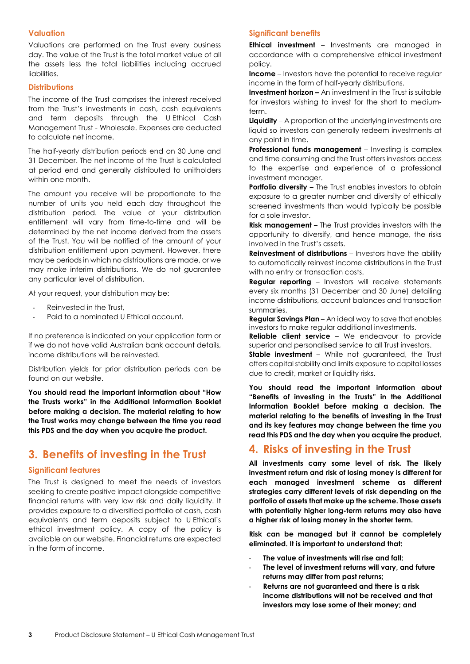## **Valuation**

Valuations are performed on the Trust every business day. The value of the Trust is the total market value of all the assets less the total liabilities including accrued liabilities.

## **Distributions**

The income of the Trust comprises the interest received from the Trust's investments in cash, cash equivalents and term deposits through the U Ethical Cash Management Trust - Wholesale. Expenses are deducted to calculate net income.

The half-yearly distribution periods end on 30 June and 31 December. The net income of the Trust is calculated at period end and generally distributed to unitholders within one month.

The amount you receive will be proportionate to the number of units you held each day throughout the distribution period. The value of your distribution entitlement will vary from time-to-time and will be determined by the net income derived from the assets of the Trust. You will be notified of the amount of your distribution entitlement upon payment. However, there may be periods in which no distributions are made, or we may make interim distributions. We do not guarantee any particular level of distribution.

At your request, your distribution may be:

- Reinvested in the Trust,
- Paid to a nominated U Ethical account.

If no preference is indicated on your application form or if we do not have valid Australian bank account details, income distributions will be reinvested.

Distribution yields for prior distribution periods can be found on our website.

**You should read the important information about "How the Trusts works" in the Additional Information Booklet before making a decision. The material relating to how the Trust works may change between the time you read this PDS and the day when you acquire the product.**

## **3. Benefits of investing in the Trust**

## **Significant features**

The Trust is designed to meet the needs of investors seeking to create positive impact alongside competitive financial returns with very low risk and daily liquidity. It provides exposure to a diversified portfolio of cash, cash equivalents and term deposits subject to U Ethical's ethical investment policy. A copy of the policy is available on our website. Financial returns are expected in the form of income.

## **Significant benefits**

**Ethical investment** – Investments are managed in accordance with a comprehensive ethical investment policy.

**Income** – Investors have the potential to receive regular income in the form of half-yearly distributions.

**Investment horizon –** An investment in the Trust is suitable for investors wishing to invest for the short to mediumterm.

**Liquidity** – A proportion of the underlying investments are liquid so investors can generally redeem investments at any point in time.

**Professional funds management** – Investing is complex and time consuming and the Trust offers investors access to the expertise and experience of a professional investment manager.

**Portfolio diversity** – The Trust enables investors to obtain exposure to a greater number and diversity of ethically screened investments than would typically be possible for a sole investor.

**Risk management** – The Trust provides investors with the opportunity to diversify, and hence manage, the risks involved in the Trust's assets.

**Reinvestment of distributions** – Investors have the ability to automatically reinvest income distributions in the Trust with no entry or transaction costs.

**Regular reporting** – Investors will receive statements every six months (31 December and 30 June) detailing income distributions, account balances and transaction summaries.

**Regular Savings Plan** – An ideal way to save that enables investors to make regular additional investments.

**Reliable client service** – We endeavour to provide superior and personalised service to all Trust investors.

**Stable investment** – While not guaranteed, the Trust offers capital stability and limits exposure to capital losses due to credit, market or liquidity risks.

**You should read the important information about "Benefits of investing in the Trusts" in the Additional Information Booklet before making a decision. The material relating to the benefits of investing in the Trust and its key features may change between the time you read this PDS and the day when you acquire the product.**

## **4. Risks of investing in the Trust**

**All investments carry some level of risk. The likely investment return and risk of losing money is different for each managed investment scheme as different strategies carry different levels of risk depending on the portfolio of assets that make up the scheme. Those assets with potentially higher long-term returns may also have a higher risk of losing money in the shorter term.**

**Risk can be managed but it cannot be completely eliminated. It is important to understand that:**

- **The value of investments will rise and fall;**
- **The level of investment returns will vary, and future returns may differ from past returns;**
- **Returns are not guaranteed and there is a risk income distributions will not be received and that investors may lose some of their money; and**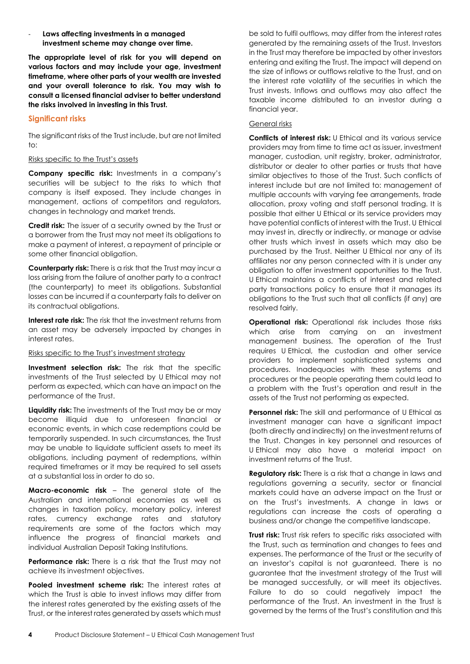**Laws affecting investments in a managed investment scheme may change over time.** 

**The appropriate level of risk for you will depend on various factors and may include your age, investment timeframe, where other parts of your wealth are invested and your overall tolerance to risk. You may wish to consult a licensed financial adviser to better understand the risks involved in investing in this Trust.**

## **Significant risks**

The significant risks of the Trust include, but are not limited to:

## Risks specific to the Trust's assets

**Company specific risk:** Investments in a company's securities will be subject to the risks to which that company is itself exposed. They include changes in management, actions of competitors and regulators, changes in technology and market trends.

**Credit risk:** The issuer of a security owned by the Trust or a borrower from the Trust may not meet its obligations to make a payment of interest, a repayment of principle or some other financial obligation.

**Counterparty risk:** There is a risk that the Trust may incur a loss arising from the failure of another party to a contract (the counterparty) to meet its obligations. Substantial losses can be incurred if a counterparty fails to deliver on its contractual obligations.

**Interest rate risk:** The risk that the investment returns from an asset may be adversely impacted by changes in interest rates.

## Risks specific to the Trust's investment strategy

**Investment selection risk:** The risk that the specific investments of the Trust selected by U Ethical may not perform as expected, which can have an impact on the performance of the Trust.

**Liquidity risk:** The investments of the Trust may be or may become illiquid due to unforeseen financial or economic events, in which case redemptions could be temporarily suspended. In such circumstances, the Trust may be unable to liquidate sufficient assets to meet its obligations, including payment of redemptions, within required timeframes or it may be required to sell assets at a substantial loss in order to do so.

**Macro-economic risk** – The general state of the Australian and international economies as well as changes in taxation policy, monetary policy, interest rates, currency exchange rates and statutory requirements are some of the factors which may influence the progress of financial markets and individual Australian Deposit Taking Institutions.

**Performance risk:** There is a risk that the Trust may not achieve its investment objectives.

**Pooled investment scheme risk:** The interest rates at which the Trust is able to invest inflows may differ from the interest rates generated by the existing assets of the Trust, or the interest rates generated by assets which must

be sold to fulfil outflows, may differ from the interest rates generated by the remaining assets of the Trust. Investors in the Trust may therefore be impacted by other investors entering and exiting the Trust. The impact will depend on the size of inflows or outflows relative to the Trust, and on the interest rate volatility of the securities in which the Trust invests. Inflows and outflows may also affect the taxable income distributed to an investor during a financial year.

## General risks

**Conflicts of interest risk:** U Ethical and its various service providers may from time to time act as issuer, investment manager, custodian, unit registry, broker, administrator, distributor or dealer to other parties or trusts that have similar objectives to those of the Trust. Such conflicts of interest include but are not limited to: management of multiple accounts with varying fee arrangements, trade allocation, proxy voting and staff personal trading. It is possible that either U Ethical or its service providers may have potential conflicts of interest with the Trust. U Ethical may invest in, directly or indirectly, or manage or advise other trusts which invest in assets which may also be purchased by the Trust. Neither U Ethical nor any of its affiliates nor any person connected with it is under any obligation to offer investment opportunities to the Trust. U Ethical maintains a conflicts of interest and related party transactions policy to ensure that it manages its obligations to the Trust such that all conflicts (if any) are resolved fairly.

**Operational risk:** Operational risk includes those risks which arise from carrying on an investment management business. The operation of the Trust requires U Ethical, the custodian and other service providers to implement sophisticated systems and procedures. Inadequacies with these systems and procedures or the people operating them could lead to a problem with the Trust's operation and result in the assets of the Trust not performing as expected.

**Personnel risk:** The skill and performance of U Ethical as investment manager can have a significant impact (both directly and indirectly) on the investment returns of the Trust. Changes in key personnel and resources of U Ethical may also have a material impact on investment returns of the Trust.

**Regulatory risk:** There is a risk that a change in laws and regulations governing a security, sector or financial markets could have an adverse impact on the Trust or on the Trust's investments. A change in laws or regulations can increase the costs of operating a business and/or change the competitive landscape.

**Trust risk:** Trust risk refers to specific risks associated with the Trust, such as termination and changes to fees and expenses. The performance of the Trust or the security of an investor's capital is not guaranteed. There is no guarantee that the investment strategy of the Trust will be managed successfully, or will meet its objectives. Failure to do so could negatively impact the performance of the Trust. An investment in the Trust is governed by the terms of the Trust's constitution and this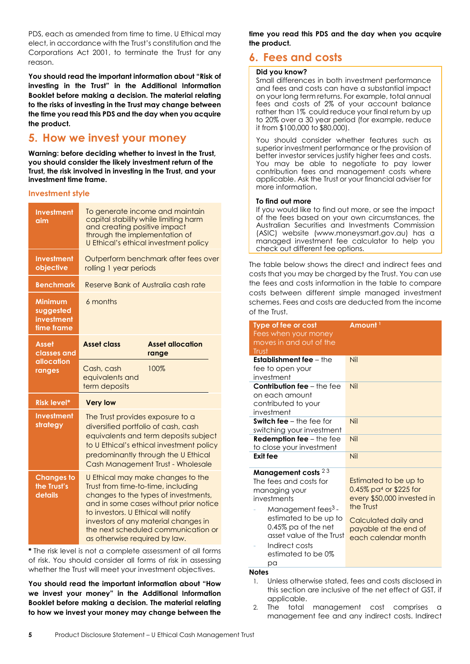PDS, each as amended from time to time. U Ethical may elect, in accordance with the Trust's constitution and the Corporations Act 2001, to terminate the Trust for any reason.

**You should read the important information about "Risk of investing in the Trust" in the Additional Information Booklet before making a decision. The material relating to the risks of investing in the Trust may change between the time you read this PDS and the day when you acquire the product.**

# **5. How we invest your money**

**Warning: before deciding whether to invest in the Trust, you should consider the likely investment return of the Trust, the risk involved in investing in the Trust, and your investment time frame.** 

## **Investment style**

| <b>Investment</b><br>aim                                | To generate income and maintain<br>capital stability while limiting harm<br>and creating positive impact<br>through the implementation of<br>U Ethical's ethical investment policy                                                                                                                               |                                  |  |
|---------------------------------------------------------|------------------------------------------------------------------------------------------------------------------------------------------------------------------------------------------------------------------------------------------------------------------------------------------------------------------|----------------------------------|--|
| <b>Investment</b><br>objective                          | Outperform benchmark after fees over<br>rolling 1 year periods                                                                                                                                                                                                                                                   |                                  |  |
| <b>Benchmark</b>                                        | Reserve Bank of Australia cash rate                                                                                                                                                                                                                                                                              |                                  |  |
| <b>Minimum</b><br>suggested<br>investment<br>time frame | 6 months                                                                                                                                                                                                                                                                                                         |                                  |  |
| Asset<br>classes and                                    | <b>Asset class</b>                                                                                                                                                                                                                                                                                               | <b>Asset allocation</b><br>range |  |
| <b>allocation</b><br>ranges                             | Cash, cash<br>equivalents and<br>term deposits                                                                                                                                                                                                                                                                   | 100%                             |  |
| <b>Risk level*</b>                                      | <b>Very low</b>                                                                                                                                                                                                                                                                                                  |                                  |  |
| <b>Investment</b><br>strategy                           | The Trust provides exposure to a<br>diversified portfolio of cash, cash<br>equivalents and term deposits subject<br>to U Ethical's ethical investment policy<br>predominantly through the U Ethical<br>Cash Management Trust - Wholesale                                                                         |                                  |  |
| <b>Changes to</b><br>the Trust's<br>details             | U Ethical may make changes to the<br>Trust from time-to-time, including<br>changes to the types of investments,<br>and in some cases without prior notice<br>to investors. U Ethical will notify<br>investors of any material changes in<br>the next scheduled communication or<br>as otherwise required by law. |                                  |  |

**\*** The risk level is not a complete assessment of all forms of risk. You should consider all forms of risk in assessing whether the Trust will meet your investment objectives.

**You should read the important information about "How we invest your money" in the Additional Information Booklet before making a decision. The material relating to how we invest your money may change between the** 

**time you read this PDS and the day when you acquire the product.** 

## **6. Fees and costs**

## **Did you know?**

Small differences in both investment performance and fees and costs can have a substantial impact on your long term returns. For example, total annual fees and costs of 2% of your account balance rather than 1% could reduce your final return by up to 20% over a 30 year period (for example, reduce it from \$100,000 to \$80,000).

You should consider whether features such as superior investment performance or the provision of better investor services justify higher fees and costs. You may be able to negotiate to pay lower contribution fees and management costs where applicable. Ask the Trust or your financial adviser for more information.

## **To find out more**

If you would like to find out more, or see the impact of the fees based on your own circumstances, the Australian Securities and Investments Commission (ASIC) website (www.moneysmart.gov.au) has a managed investment fee calculator to help you check out different fee options.

The table below shows the direct and indirect fees and costs that you may be charged by the Trust. You can use the fees and costs information in the table to compare costs between different simple managed investment schemes. Fees and costs are deducted from the income of the Trust.

| Type of fee or cost<br>Fees when your money<br>moves in and out of the<br>Trust                                                                                                                                                             | Amount <sup>1</sup>                                                                                                                                                               |
|---------------------------------------------------------------------------------------------------------------------------------------------------------------------------------------------------------------------------------------------|-----------------------------------------------------------------------------------------------------------------------------------------------------------------------------------|
| <b>Establishment fee - the</b><br>fee to open your<br>investment                                                                                                                                                                            | Nil                                                                                                                                                                               |
| <b>Contribution fee - the fee</b><br>on each amount<br>contributed to your<br>investment                                                                                                                                                    | Nil                                                                                                                                                                               |
| <b>Switch fee</b> $-$ the fee for<br>switching your investment                                                                                                                                                                              | Nil                                                                                                                                                                               |
| <b>Redemption fee</b> $-$ the fee<br>to close your investment                                                                                                                                                                               | Nil                                                                                                                                                                               |
| Exit fee                                                                                                                                                                                                                                    | Nil                                                                                                                                                                               |
| Management costs $23$<br>The fees and costs for<br>managing your<br>investments<br>Management fees <sup>3</sup> -<br>estimated to be up to<br>0.45% pa of the net<br>asset value of the Trust<br>Indirect costs<br>estimated to be 0%<br>рa | Estimated to be up to<br>$0.45\%$ pa <sup>4</sup> or \$225 for<br>every \$50,000 invested in<br>the Trust<br>Calculated daily and<br>payable at the end of<br>each calendar month |
| <b>Notes</b>                                                                                                                                                                                                                                |                                                                                                                                                                                   |

1. Unless otherwise stated, fees and costs disclosed in this section are inclusive of the net effect of GST, if applicable.

2. The total management cost comprises a management fee and any indirect costs. Indirect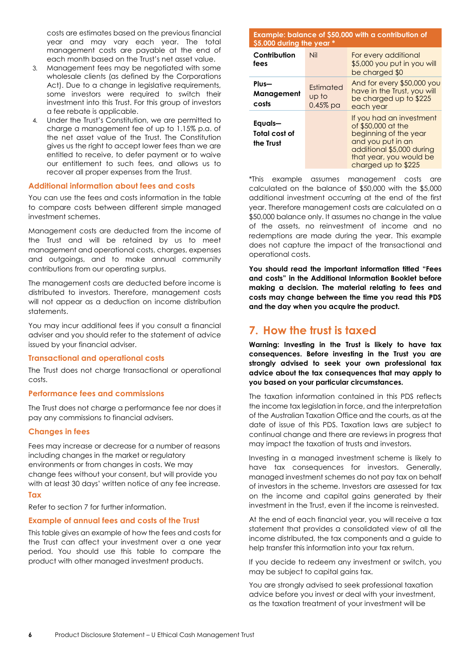costs are estimates based on the previous financial year and may vary each year. The total management costs are payable at the end of each month based on the Trust's net asset value.

- 3. Management fees may be negotiated with some wholesale clients (as defined by the Corporations Act). Due to a change in legislative requirements, some investors were required to switch their investment into this Trust. For this group of investors a fee rebate is applicable.
- 4. Under the Trust's Constitution, we are permitted to charge a management fee of up to 1.15% p.a. of the net asset value of the Trust. The Constitution gives us the right to accept lower fees than we are entitled to receive, to defer payment or to waive our entitlement to such fees, and allows us to recover all proper expenses from the Trust.

## **Additional information about fees and costs**

You can use the fees and costs information in the table to compare costs between different simple managed investment schemes.

Management costs are deducted from the income of the Trust and will be retained by us to meet management and operational costs, charges, expenses and outgoings, and to make annual community contributions from our operating surplus.

The management costs are deducted before income is distributed to investors. Therefore, management costs will not appear as a deduction on income distribution statements.

You may incur additional fees if you consult a financial adviser and you should refer to the statement of advice issued by your financial adviser.

## **Transactional and operational costs**

The Trust does not charge transactional or operational costs.

## **Performance fees and commissions**

The Trust does not charge a performance fee nor does it pay any commissions to financial advisers.

## **Changes in fees**

Fees may increase or decrease for a number of reasons including changes in the market or regulatory environments or from changes in costs. We may change fees without your consent, but will provide you with at least 30 days' written notice of any fee increase.

## **Tax**

Refer to section 7 for further information.

## **Example of annual fees and costs of the Trust**

This table gives an example of how the fees and costs for the Trust can affect your investment over a one year period. You should use this table to compare the product with other managed investment products.

#### **Example: balance of \$50,000 with a contribution of \$5,000 during the year \***

| <b>JJ,UUU UUIIIIY IIIG YGUI</b>       |                                  |                                                                                                                                                                             |  |  |
|---------------------------------------|----------------------------------|-----------------------------------------------------------------------------------------------------------------------------------------------------------------------------|--|--|
| Contribution<br>fees                  | Nil                              | For every additional<br>\$5,000 you put in you will<br>be charged \$0                                                                                                       |  |  |
| Plus-<br>Management<br>costs          | Estimated<br>up to<br>$0.45%$ pa | And for every \$50,000 you<br>have in the Trust, you will<br>be charged up to \$225<br>each year                                                                            |  |  |
| Equals-<br>Total cost of<br>the Trust |                                  | If you had an investment<br>of \$50,000 at the<br>beginning of the year<br>and you put in an<br>additional \$5,000 during<br>that year, you would be<br>charged up to \$225 |  |  |

\*This example assumes management costs are calculated on the balance of \$50,000 with the \$5,000 additional investment occurring at the end of the first year. Therefore management costs are calculated on a \$50,000 balance only. It assumes no change in the value of the assets, no reinvestment of income and no redemptions are made during the year. This example does not capture the impact of the transactional and operational costs.

**You should read the important information titled "Fees and costs" in the Additional Information Booklet before making a decision. The material relating to fees and costs may change between the time you read this PDS and the day when you acquire the product.**

## **7. How the trust is taxed**

**Warning: Investing in the Trust is likely to have tax consequences. Before investing in the Trust you are strongly advised to seek your own professional tax advice about the tax consequences that may apply to you based on your particular circumstances.**

The taxation information contained in this PDS reflects the income tax legislation in force, and the interpretation of the Australian Taxation Office and the courts, as at the date of issue of this PDS. Taxation laws are subject to continual change and there are reviews in progress that may impact the taxation of trusts and investors.

Investing in a managed investment scheme is likely to have tax consequences for investors. Generally, managed investment schemes do not pay tax on behalf of investors in the scheme. Investors are assessed for tax on the income and capital gains generated by their investment in the Trust, even if the income is reinvested.

At the end of each financial year, you will receive a tax statement that provides a consolidated view of all the income distributed, the tax components and a guide to help transfer this information into your tax return.

If you decide to redeem any investment or switch, you may be subject to capital gains tax.

You are strongly advised to seek professional taxation advice before you invest or deal with your investment, as the taxation treatment of your investment will be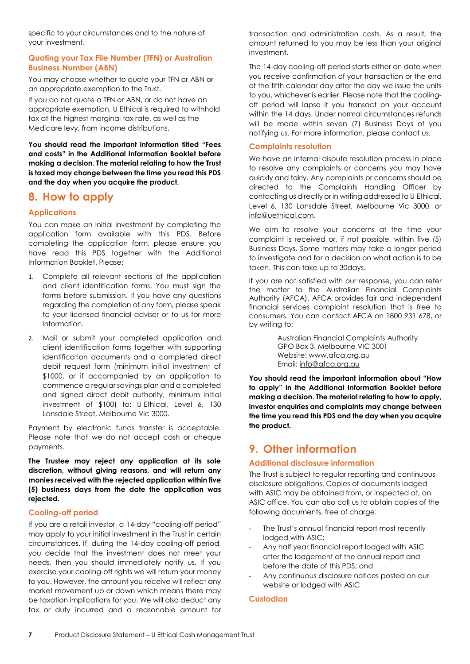specific to your circumstances and to the nature of your investment.

## **Quoting your Tax File Number (TFN) or Australian Business Number (ABN)**

You may choose whether to quote your TFN or ABN or an appropriate exemption to the Trust.

If you do not quote a TFN or ABN, or do not have an appropriate exemption, U Ethical is required to withhold tax at the highest marginal tax rate, as well as the Medicare levy, from income distributions.

**You should read the important information titled "Fees and costs" in the Additional Information Booklet before making a decision. The material relating to how the Trust is taxed may change between the time you read this PDS and the day when you acquire the product.** 

## **8. How to apply**

## **Applications**

You can make an initial investment by completing the application form available with this PDS. Before completing the application form, please ensure you have read this PDS together with the Additional Information Booklet. Please:

- Complete all relevant sections of the application and client identification forms. You must sign the forms before submission. If you have any questions regarding the completion of any form, please speak to your licensed financial adviser or to us for more information.
- 2. Mail or submit your completed application and client identification forms together with supporting identification documents and a completed direct debit request form (minimum initial investment of \$1000, or if accompanied by an application to commence a regular savings plan and a completed and signed direct debit authority, minimum initial investment of \$100) to: U Ethical, Level 6, 130 Lonsdale Street, Melbourne Vic 3000.

Payment by electronic funds transfer is acceptable. Please note that we do not accept cash or cheque payments.

**The Trustee may reject any application at its sole discretion, without giving reasons, and will return any monies received with the rejected application within five (5) business days from the date the application was rejected.** 

## **Cooling-off period**

If you are a retail investor, a 14-day "cooling-off period" may apply to your initial investment in the Trust in certain circumstances. If, during the 14-day cooling-off period, you decide that the investment does not meet your needs, then you should immediately notify us. If you exercise your cooling-off rights we will return your money to you. However, the amount you receive will reflect any market movement up or down which means there may be taxation implications for you. We will also deduct any tax or duty incurred and a reasonable amount for

transaction and administration costs. As a result, the amount returned to you may be less than your original investment.

The 14-day cooling-off period starts either on date when you receive confirmation of your transaction or the end of the fifth calendar day after the day we issue the units to you, whichever is earlier. Please note that the coolingoff period will lapse if you transact on your account within the 14 days. Under normal circumstances refunds will be made within seven (7) Business Days of you notifying us. For more information, please contact us.

## **Complaints resolution**

We have an internal dispute resolution process in place to resolve any complaints or concerns you may have quickly and fairly. Any complaints or concerns should be directed to the Complaints Handling Officer by contacting us directly or in writing addressed to U Ethical, Level 6, 130 Lonsdale Street, Melbourne Vic 3000, or [info@uethical.com.](mailto:info@uethical.com)

We aim to resolve your concerns at the time your complaint is received or, if not possible, within five (5) Business Days. Some matters may take a longer period to investigate and for a decision on what action is to be taken. This can take up to 30days.

If you are not satisfied with our response, you can refer the matter to the Australian Financial Complaints Authority (AFCA). AFCA provides fair and independent financial services complaint resolution that is free to consumers. You can contact AFCA on 1800 931 678, or by writing to:

> Australian Financial Complaints Authority GPO Box 3, Melbourne VIC 3001 Website: www.afca.org.au Email: [info@afca.org.au](mailto:info@afca.org.au)

**You should read the important information about "How to apply" in the Additional Information Booklet before making a decision. The material relating to how to apply, investor enquiries and complaints may change between the time you read this PDS and the day when you acquire the product.**

## **9. Other information**

## **Additional disclosure information**

The Trust is subject to regular reporting and continuous disclosure obligations. Copies of documents lodged with ASIC may be obtained from, or inspected at, an ASIC office. You can also call us to obtain copies of the following documents, free of charge:

- The Trust's annual financial report most recently lodged with ASIC;
- Any half year financial report lodged with ASIC after the lodgement of the annual report and before the date of this PDS; and
- Any continuous disclosure notices posted on our website or lodged with ASIC

## **Custodian**